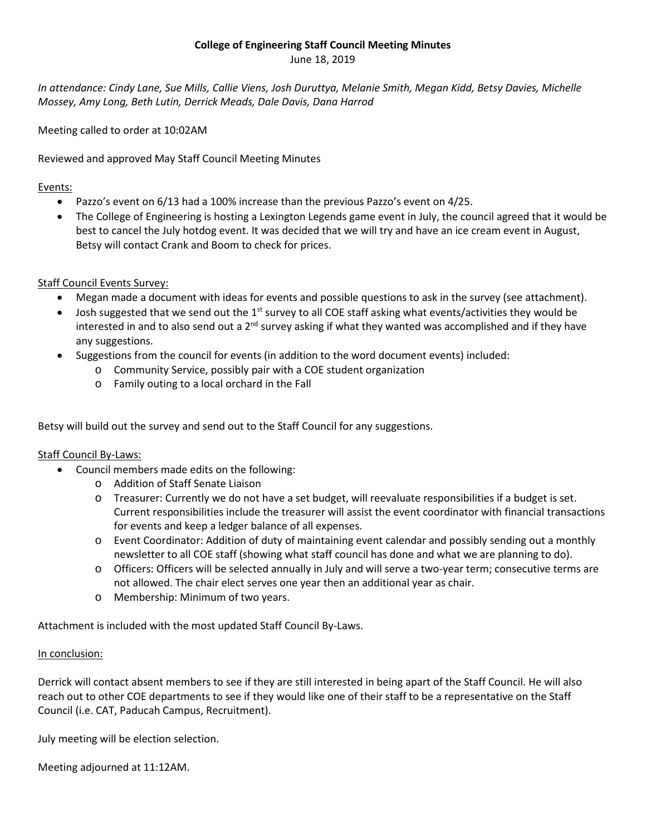#### **College of Engineering Staff Council Meeting Minutes**

June 18, 2019

*In attendance: Cindy Lane, Sue Mills, Callie Viens, Josh Duruttya, Melanie Smith, Megan Kidd, Betsy Davies, Michelle Mossey, Amy Long, Beth Lutin, Derrick Meads, Dale Davis, Dana Harrod*

Meeting called to order at 10:02AM

Reviewed and approved May Staff Council Meeting Minutes

#### Events:

- Pazzo's event on 6/13 had a 100% increase than the previous Pazzo's event on 4/25.
- The College of Engineering is hosting a Lexington Legends game event in July, the council agreed that it would be best to cancel the July hotdog event. It was decided that we will try and have an ice cream event in August, Betsy will contact Crank and Boom to check for prices.

#### Staff Council Events Survey:

- Megan made a document with ideas for events and possible questions to ask in the survey (see attachment).
- Josh suggested that we send out the 1<sup>st</sup> survey to all COE staff asking what events/activities they would be interested in and to also send out a 2<sup>nd</sup> survey asking if what they wanted was accomplished and if they have any suggestions.
- Suggestions from the council for events (in addition to the word document events) included:
	- o Community Service, possibly pair with a COE student organization
	- o Family outing to a local orchard in the Fall

Betsy will build out the survey and send out to the Staff Council for any suggestions.

#### Staff Council By-Laws:

- Council members made edits on the following:
	- o Addition of Staff Senate Liaison
	- o Treasurer: Currently we do not have a set budget, will reevaluate responsibilities if a budget is set. Current responsibilities include the treasurer will assist the event coordinator with financial transactions for events and keep a ledger balance of all expenses.
	- o Event Coordinator: Addition of duty of maintaining event calendar and possibly sending out a monthly newsletter to all COE staff (showing what staff council has done and what we are planning to do).
	- o Officers: Officers will be selected annually in July and will serve a two-year term; consecutive terms are not allowed. The chair elect serves one year then an additional year as chair.
	- o Membership: Minimum of two years.

Attachment is included with the most updated Staff Council By-Laws.

#### In conclusion:

Derrick will contact absent members to see if they are still interested in being apart of the Staff Council. He will also reach out to other COE departments to see if they would like one of their staff to be a representative on the Staff Council (i.e. CAT, Paducah Campus, Recruitment).

July meeting will be election selection.

Meeting adjourned at 11:12AM.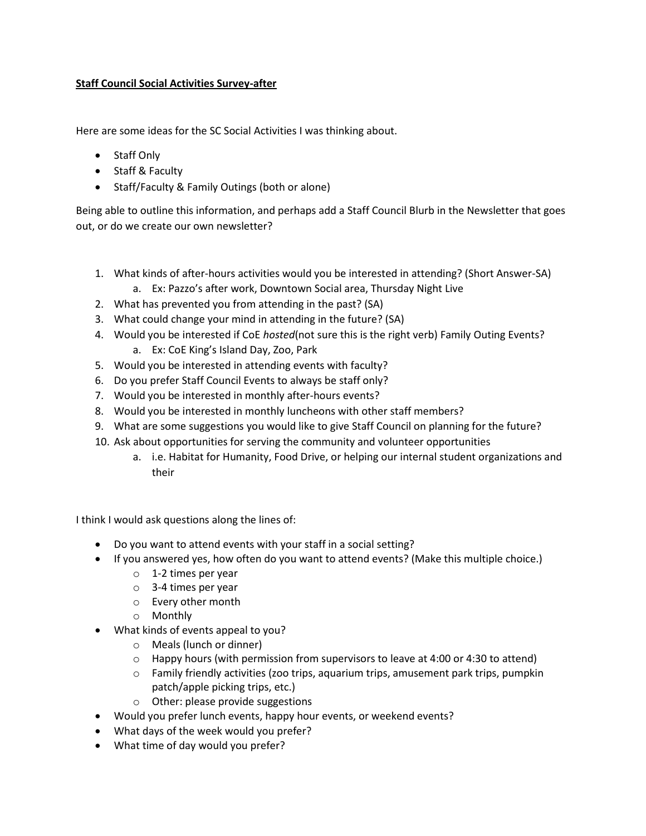#### **Staff Council Social Activities Survey-after**

Here are some ideas for the SC Social Activities I was thinking about.

- Staff Only
- Staff & Faculty
- Staff/Faculty & Family Outings (both or alone)

Being able to outline this information, and perhaps add a Staff Council Blurb in the Newsletter that goes out, or do we create our own newsletter?

- 1. What kinds of after-hours activities would you be interested in attending? (Short Answer-SA)
	- a. Ex: Pazzo's after work, Downtown Social area, Thursday Night Live
- 2. What has prevented you from attending in the past? (SA)
- 3. What could change your mind in attending in the future? (SA)
- 4. Would you be interested if CoE *hosted*(not sure this is the right verb) Family Outing Events? a. Ex: CoE King's Island Day, Zoo, Park
- 5. Would you be interested in attending events with faculty?
- 6. Do you prefer Staff Council Events to always be staff only?
- 7. Would you be interested in monthly after-hours events?
- 8. Would you be interested in monthly luncheons with other staff members?
- 9. What are some suggestions you would like to give Staff Council on planning for the future?
- 10. Ask about opportunities for serving the community and volunteer opportunities
	- a. i.e. Habitat for Humanity, Food Drive, or helping our internal student organizations and their

I think I would ask questions along the lines of:

- Do you want to attend events with your staff in a social setting?
- If you answered yes, how often do you want to attend events? (Make this multiple choice.)
	- o 1-2 times per year
	- o 3-4 times per year
	- o Every other month
	- o Monthly
- What kinds of events appeal to you?
	- o Meals (lunch or dinner)
	- $\circ$  Happy hours (with permission from supervisors to leave at 4:00 or 4:30 to attend)
	- o Family friendly activities (zoo trips, aquarium trips, amusement park trips, pumpkin patch/apple picking trips, etc.)
	- o Other: please provide suggestions
- Would you prefer lunch events, happy hour events, or weekend events?
- What days of the week would you prefer?
- What time of day would you prefer?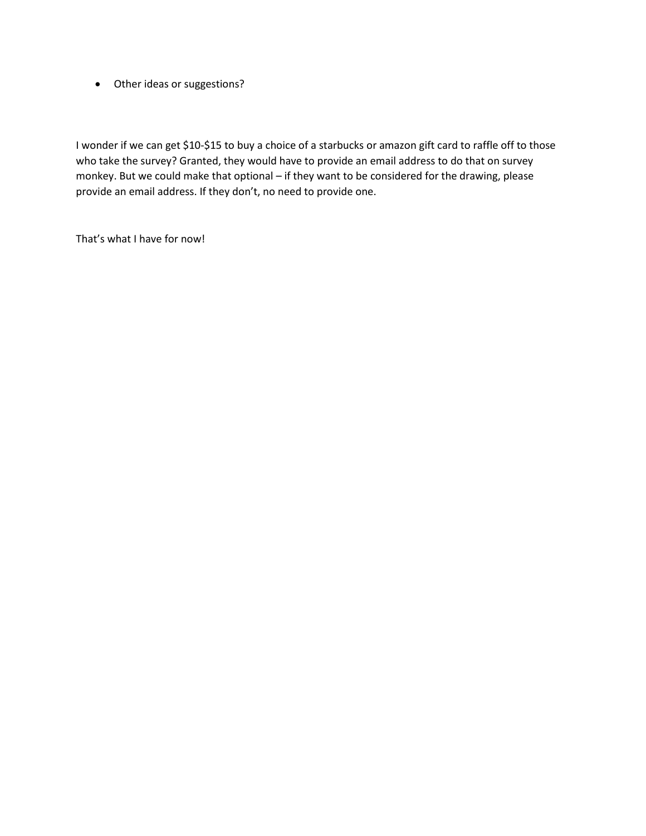• Other ideas or suggestions?

I wonder if we can get \$10-\$15 to buy a choice of a starbucks or amazon gift card to raffle off to those who take the survey? Granted, they would have to provide an email address to do that on survey monkey. But we could make that optional – if they want to be considered for the drawing, please provide an email address. If they don't, no need to provide one.

That's what I have for now!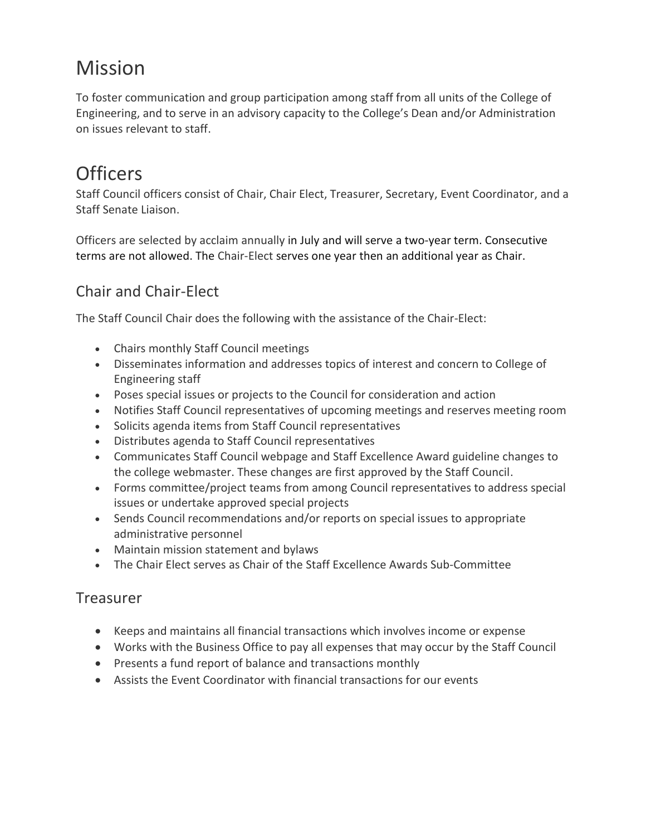# **Mission**

To foster communication and group participation among staff from all units of the College of Engineering, and to serve in an advisory capacity to the College's Dean and/or Administration on issues relevant to staff.

## **Officers**

Staff Council officers consist of Chair, Chair Elect, Treasurer, Secretary, Event Coordinator, and a Staff Senate Liaison.

Officers are selected by acclaim annually in July and will serve a two-year term. Consecutive terms are not allowed. The Chair-Elect serves one year then an additional year as Chair.

## Chair and Chair-Elect

The Staff Council Chair does the following with the assistance of the Chair-Elect:

- Chairs monthly Staff Council meetings
- Disseminates information and addresses topics of interest and concern to College of Engineering staff
- Poses special issues or projects to the Council for consideration and action
- Notifies Staff Council representatives of upcoming meetings and reserves meeting room
- Solicits agenda items from Staff Council representatives
- Distributes agenda to Staff Council representatives
- Communicates Staff Council webpage and Staff Excellence Award guideline changes to the college webmaster. These changes are first approved by the Staff Council.
- Forms committee/project teams from among Council representatives to address special issues or undertake approved special projects
- Sends Council recommendations and/or reports on special issues to appropriate administrative personnel
- Maintain mission statement and bylaws
- The Chair Elect serves as Chair of the Staff Excellence Awards Sub-Committee

#### Treasurer

- Keeps and maintains all financial transactions which involves income or expense
- Works with the Business Office to pay all expenses that may occur by the Staff Council
- Presents a fund report of balance and transactions monthly
- Assists the Event Coordinator with financial transactions for our events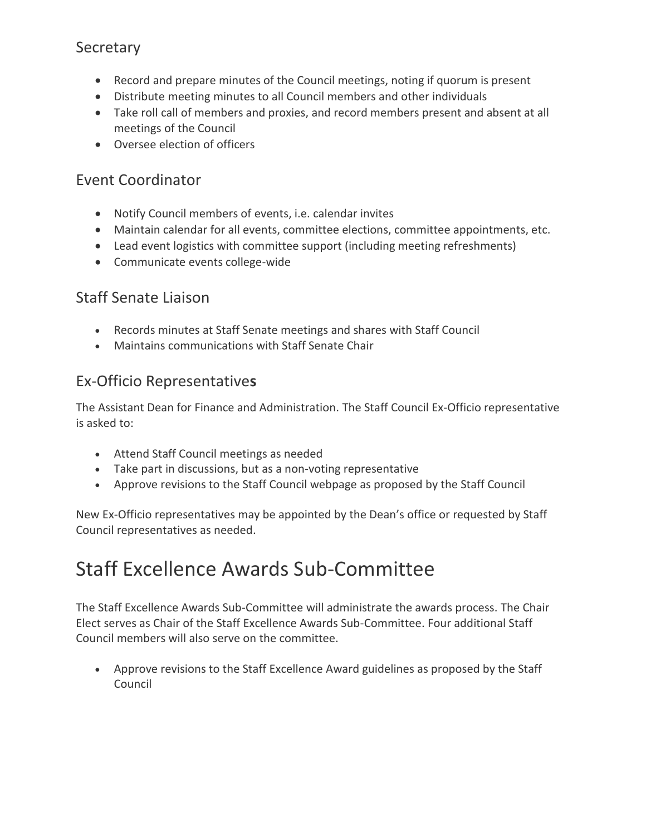## Secretary

- Record and prepare minutes of the Council meetings, noting if quorum is present
- Distribute meeting minutes to all Council members and other individuals
- Take roll call of members and proxies, and record members present and absent at all meetings of the Council
- Oversee election of officers

#### Event Coordinator

- Notify Council members of events, i.e. calendar invites
- Maintain calendar for all events, committee elections, committee appointments, etc.
- Lead event logistics with committee support (including meeting refreshments)
- Communicate events college-wide

### Staff Senate Liaison

- Records minutes at Staff Senate meetings and shares with Staff Council
- Maintains communications with Staff Senate Chair

### Ex-Officio Representative**s**

The Assistant Dean for Finance and Administration. The Staff Council Ex-Officio representative is asked to:

- Attend Staff Council meetings as needed
- Take part in discussions, but as a non-voting representative
- Approve revisions to the Staff Council webpage as proposed by the Staff Council

New Ex-Officio representatives may be appointed by the Dean's office or requested by Staff Council representatives as needed.

# Staff Excellence Awards Sub-Committee

The Staff Excellence Awards Sub-Committee will administrate the awards process. The Chair Elect serves as Chair of the Staff Excellence Awards Sub-Committee. Four additional Staff Council members will also serve on the committee.

• Approve revisions to the Staff Excellence Award guidelines as proposed by the Staff Council